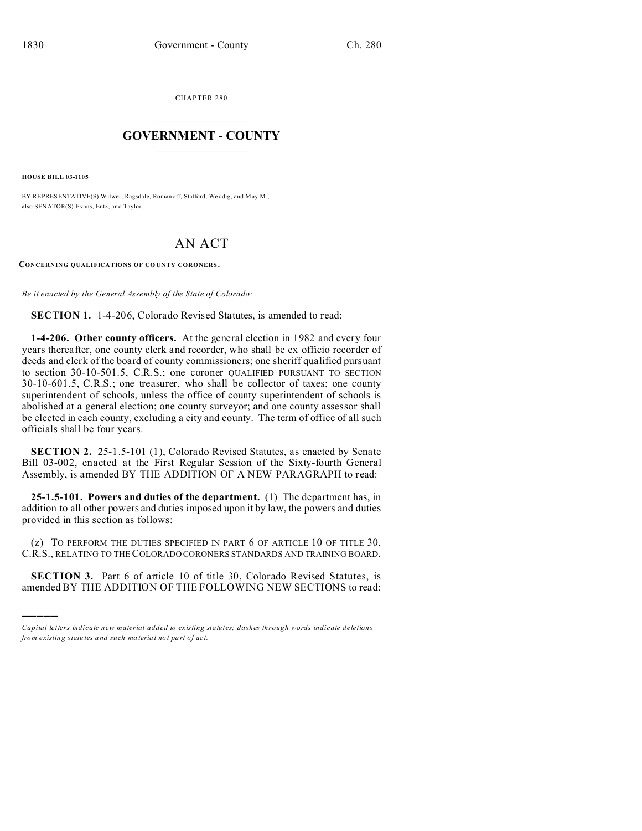CHAPTER 280  $\overline{\phantom{a}}$  , where  $\overline{\phantom{a}}$ 

## **GOVERNMENT - COUNTY**  $\_$

**HOUSE BILL 03-1105**

)))))

BY REPRESENTATIVE(S) Witwer, Ragsdale, Romanoff, Stafford, Weddig, and May M.; also SENATOR(S) Evans, Entz, and Taylor.

## AN ACT

**CONCERNING QUALIFICATIONS OF CO UNTY CORONERS .**

*Be it enacted by the General Assembly of the State of Colorado:*

**SECTION 1.** 1-4-206, Colorado Revised Statutes, is amended to read:

**1-4-206. Other county officers.** At the general election in 1982 and every four years thereafter, one county clerk and recorder, who shall be ex officio recorder of deeds and clerk of the board of county commissioners; one sheriff qualified pursuant to section 30-10-501.5, C.R.S.; one coroner QUALIFIED PURSUANT TO SECTION 30-10-601.5, C.R.S.; one treasurer, who shall be collector of taxes; one county superintendent of schools, unless the office of county superintendent of schools is abolished at a general election; one county surveyor; and one county assessor shall be elected in each county, excluding a city and county. The term of office of all such officials shall be four years.

**SECTION 2.** 25-1.5-101 (1), Colorado Revised Statutes, as enacted by Senate Bill 03-002, enacted at the First Regular Session of the Sixty-fourth General Assembly, is amended BY THE ADDITION OF A NEW PARAGRAPH to read:

**25-1.5-101. Powers and duties of the department.** (1) The department has, in addition to all other powers and duties imposed upon it by law, the powers and duties provided in this section as follows:

(z) TO PERFORM THE DUTIES SPECIFIED IN PART 6 OF ARTICLE 10 OF TITLE 30, C.R.S., RELATING TO THE COLORADO CORONERS STANDARDS AND TRAINING BOARD.

**SECTION 3.** Part 6 of article 10 of title 30, Colorado Revised Statutes, is amended BY THE ADDITION OF THE FOLLOWING NEW SECTIONS to read:

*Capital letters indicate new material added to existing statutes; dashes through words indicate deletions from e xistin g statu tes a nd such ma teria l no t pa rt of ac t.*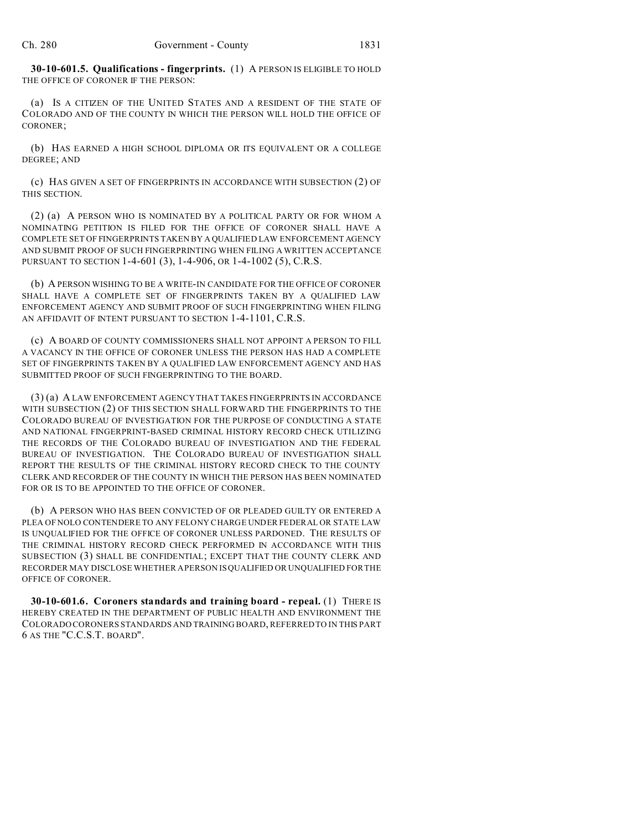**30-10-601.5. Qualifications - fingerprints.** (1) A PERSON IS ELIGIBLE TO HOLD THE OFFICE OF CORONER IF THE PERSON:

(a) IS A CITIZEN OF THE UNITED STATES AND A RESIDENT OF THE STATE OF COLORADO AND OF THE COUNTY IN WHICH THE PERSON WILL HOLD THE OFFICE OF CORONER;

(b) HAS EARNED A HIGH SCHOOL DIPLOMA OR ITS EQUIVALENT OR A COLLEGE DEGREE; AND

(c) HAS GIVEN A SET OF FINGERPRINTS IN ACCORDANCE WITH SUBSECTION (2) OF THIS SECTION.

(2) (a) A PERSON WHO IS NOMINATED BY A POLITICAL PARTY OR FOR WHOM A NOMINATING PETITION IS FILED FOR THE OFFICE OF CORONER SHALL HAVE A COMPLETE SET OF FINGERPRINTS TAKEN BY A QUALIFIED LAW ENFORCEMENT AGENCY AND SUBMIT PROOF OF SUCH FINGERPRINTING WHEN FILING A WRITTEN ACCEPTANCE PURSUANT TO SECTION 1-4-601 (3), 1-4-906, OR 1-4-1002 (5), C.R.S.

(b) A PERSON WISHING TO BE A WRITE-IN CANDIDATE FOR THE OFFICE OF CORONER SHALL HAVE A COMPLETE SET OF FINGERPRINTS TAKEN BY A QUALIFIED LAW ENFORCEMENT AGENCY AND SUBMIT PROOF OF SUCH FINGERPRINTING WHEN FILING AN AFFIDAVIT OF INTENT PURSUANT TO SECTION 1-4-1101, C.R.S.

(c) A BOARD OF COUNTY COMMISSIONERS SHALL NOT APPOINT A PERSON TO FILL A VACANCY IN THE OFFICE OF CORONER UNLESS THE PERSON HAS HAD A COMPLETE SET OF FINGERPRINTS TAKEN BY A QUALIFIED LAW ENFORCEMENT AGENCY AND HAS SUBMITTED PROOF OF SUCH FINGERPRINTING TO THE BOARD.

(3) (a) A LAW ENFORCEMENT AGENCY THAT TAKES FINGERPRINTS IN ACCORDANCE WITH SUBSECTION (2) OF THIS SECTION SHALL FORWARD THE FINGERPRINTS TO THE COLORADO BUREAU OF INVESTIGATION FOR THE PURPOSE OF CONDUCTING A STATE AND NATIONAL FINGERPRINT-BASED CRIMINAL HISTORY RECORD CHECK UTILIZING THE RECORDS OF THE COLORADO BUREAU OF INVESTIGATION AND THE FEDERAL BUREAU OF INVESTIGATION. THE COLORADO BUREAU OF INVESTIGATION SHALL REPORT THE RESULTS OF THE CRIMINAL HISTORY RECORD CHECK TO THE COUNTY CLERK AND RECORDER OF THE COUNTY IN WHICH THE PERSON HAS BEEN NOMINATED FOR OR IS TO BE APPOINTED TO THE OFFICE OF CORONER.

(b) A PERSON WHO HAS BEEN CONVICTED OF OR PLEADED GUILTY OR ENTERED A PLEA OF NOLO CONTENDERE TO ANY FELONY CHARGE UNDER FEDERAL OR STATE LAW IS UNQUALIFIED FOR THE OFFICE OF CORONER UNLESS PARDONED. THE RESULTS OF THE CRIMINAL HISTORY RECORD CHECK PERFORMED IN ACCORDANCE WITH THIS SUBSECTION (3) SHALL BE CONFIDENTIAL; EXCEPT THAT THE COUNTY CLERK AND RECORDER MAY DISCLOSE WHETHER A PERSON IS QUALIFIED OR UNQUALIFIED FOR THE OFFICE OF CORONER.

**30-10-601.6. Coroners standards and training board - repeal.** (1) THERE IS HEREBY CREATED IN THE DEPARTMENT OF PUBLIC HEALTH AND ENVIRONMENT THE COLORADO CORONERS STANDARDS AND TRAINING BOARD, REFERRED TO IN THIS PART 6 AS THE "C.C.S.T. BOARD".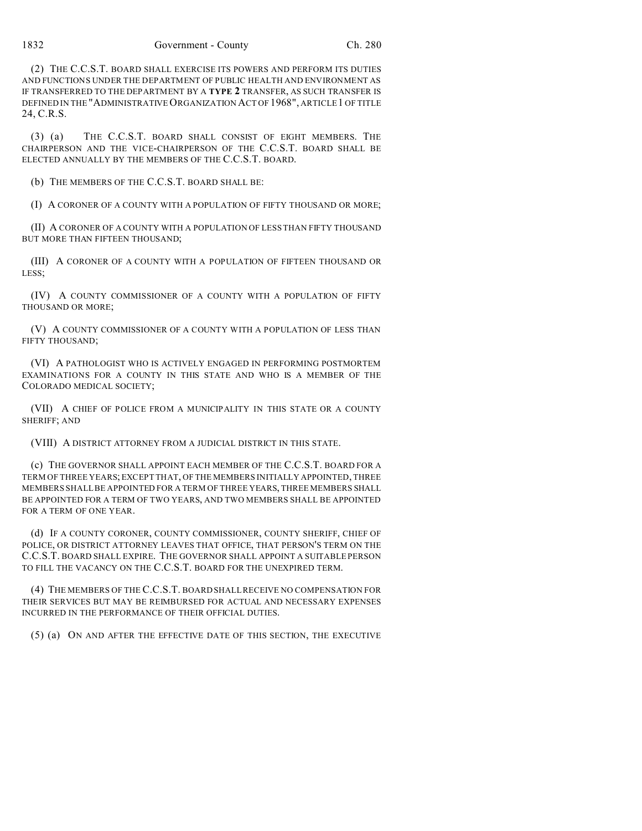(2) THE C.C.S.T. BOARD SHALL EXERCISE ITS POWERS AND PERFORM ITS DUTIES AND FUNCTIONS UNDER THE DEPARTMENT OF PUBLIC HEALTH AND ENVIRONMENT AS IF TRANSFERRED TO THE DEPARTMENT BY A **TYPE 2** TRANSFER, AS SUCH TRANSFER IS DEFINED IN THE "ADMINISTRATIVE ORGANIZATION ACT OF 1968", ARTICLE 1 OF TITLE 24, C.R.S.

(3) (a) THE C.C.S.T. BOARD SHALL CONSIST OF EIGHT MEMBERS. THE CHAIRPERSON AND THE VICE-CHAIRPERSON OF THE C.C.S.T. BOARD SHALL BE ELECTED ANNUALLY BY THE MEMBERS OF THE C.C.S.T. BOARD.

(b) THE MEMBERS OF THE C.C.S.T. BOARD SHALL BE:

(I) A CORONER OF A COUNTY WITH A POPULATION OF FIFTY THOUSAND OR MORE;

(II) A CORONER OF A COUNTY WITH A POPULATION OF LESS THAN FIFTY THOUSAND BUT MORE THAN FIFTEEN THOUSAND;

(III) A CORONER OF A COUNTY WITH A POPULATION OF FIFTEEN THOUSAND OR LESS;

(IV) A COUNTY COMMISSIONER OF A COUNTY WITH A POPULATION OF FIFTY THOUSAND OR MORE;

(V) A COUNTY COMMISSIONER OF A COUNTY WITH A POPULATION OF LESS THAN FIFTY THOUSAND;

(VI) A PATHOLOGIST WHO IS ACTIVELY ENGAGED IN PERFORMING POSTMORTEM EXAMINATIONS FOR A COUNTY IN THIS STATE AND WHO IS A MEMBER OF THE COLORADO MEDICAL SOCIETY;

(VII) A CHIEF OF POLICE FROM A MUNICIPALITY IN THIS STATE OR A COUNTY SHERIFF; AND

(VIII) A DISTRICT ATTORNEY FROM A JUDICIAL DISTRICT IN THIS STATE.

(c) THE GOVERNOR SHALL APPOINT EACH MEMBER OF THE C.C.S.T. BOARD FOR A TERM OF THREE YEARS; EXCEPT THAT, OF THE MEMBERS INITIALLY APPOINTED, THREE MEMBERS SHALL BE APPOINTED FOR A TERM OF THREE YEARS, THREE MEMBERS SHALL BE APPOINTED FOR A TERM OF TWO YEARS, AND TWO MEMBERS SHALL BE APPOINTED FOR A TERM OF ONE YEAR.

(d) IF A COUNTY CORONER, COUNTY COMMISSIONER, COUNTY SHERIFF, CHIEF OF POLICE, OR DISTRICT ATTORNEY LEAVES THAT OFFICE, THAT PERSON'S TERM ON THE C.C.S.T. BOARD SHALL EXPIRE. THE GOVERNOR SHALL APPOINT A SUITABLE PERSON TO FILL THE VACANCY ON THE C.C.S.T. BOARD FOR THE UNEXPIRED TERM.

(4) THE MEMBERS OF THE C.C.S.T. BOARD SHALL RECEIVE NO COMPENSATION FOR THEIR SERVICES BUT MAY BE REIMBURSED FOR ACTUAL AND NECESSARY EXPENSES INCURRED IN THE PERFORMANCE OF THEIR OFFICIAL DUTIES.

(5) (a) ON AND AFTER THE EFFECTIVE DATE OF THIS SECTION, THE EXECUTIVE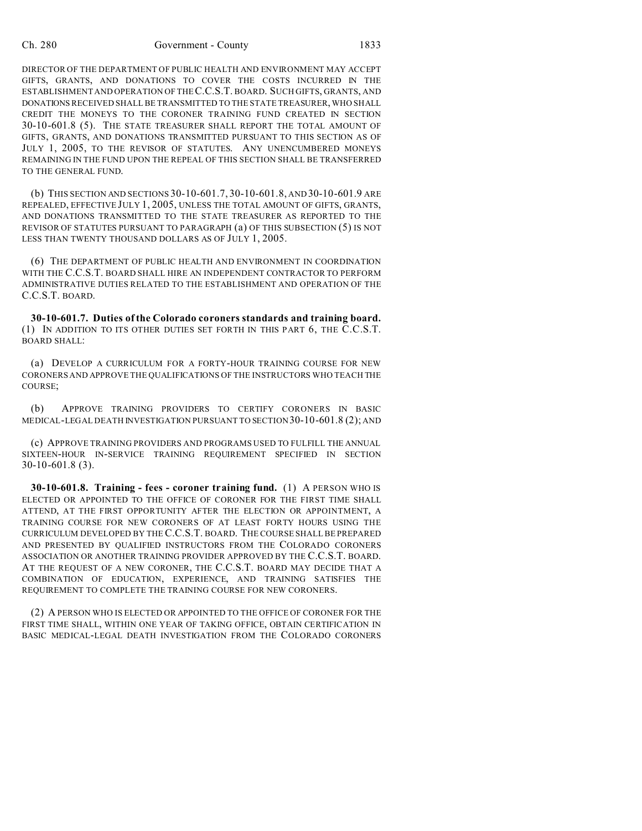## Ch. 280 Government - County 1833

DIRECTOR OF THE DEPARTMENT OF PUBLIC HEALTH AND ENVIRONMENT MAY ACCEPT GIFTS, GRANTS, AND DONATIONS TO COVER THE COSTS INCURRED IN THE ESTABLISHMENT AND OPERATION OF THE C.C.S.T. BOARD. SUCH GIFTS, GRANTS, AND DONATIONS RECEIVED SHALL BE TRANSMITTED TO THE STATE TREASURER, WHO SHALL CREDIT THE MONEYS TO THE CORONER TRAINING FUND CREATED IN SECTION 30-10-601.8 (5). THE STATE TREASURER SHALL REPORT THE TOTAL AMOUNT OF GIFTS, GRANTS, AND DONATIONS TRANSMITTED PURSUANT TO THIS SECTION AS OF JULY 1, 2005, TO THE REVISOR OF STATUTES. ANY UNENCUMBERED MONEYS REMAINING IN THE FUND UPON THE REPEAL OF THIS SECTION SHALL BE TRANSFERRED TO THE GENERAL FUND.

(b) THIS SECTION AND SECTIONS 30-10-601.7, 30-10-601.8, AND 30-10-601.9 ARE REPEALED, EFFECTIVE JULY 1, 2005, UNLESS THE TOTAL AMOUNT OF GIFTS, GRANTS, AND DONATIONS TRANSMITTED TO THE STATE TREASURER AS REPORTED TO THE REVISOR OF STATUTES PURSUANT TO PARAGRAPH (a) OF THIS SUBSECTION (5) IS NOT LESS THAN TWENTY THOUSAND DOLLARS AS OF JULY 1, 2005.

(6) THE DEPARTMENT OF PUBLIC HEALTH AND ENVIRONMENT IN COORDINATION WITH THE C.C.S.T. BOARD SHALL HIRE AN INDEPENDENT CONTRACTOR TO PERFORM ADMINISTRATIVE DUTIES RELATED TO THE ESTABLISHMENT AND OPERATION OF THE C.C.S.T. BOARD.

**30-10-601.7. Duties of the Colorado coroners standards and training board.** (1) IN ADDITION TO ITS OTHER DUTIES SET FORTH IN THIS PART 6, THE C.C.S.T. BOARD SHALL:

(a) DEVELOP A CURRICULUM FOR A FORTY-HOUR TRAINING COURSE FOR NEW CORONERS AND APPROVE THE QUALIFICATIONS OF THE INSTRUCTORS WHO TEACH THE COURSE;

(b) APPROVE TRAINING PROVIDERS TO CERTIFY CORONERS IN BASIC MEDICAL-LEGAL DEATH INVESTIGATION PURSUANT TO SECTION 30-10-601.8 (2); AND

(c) APPROVE TRAINING PROVIDERS AND PROGRAMS USED TO FULFILL THE ANNUAL SIXTEEN-HOUR IN-SERVICE TRAINING REQUIREMENT SPECIFIED IN SECTION 30-10-601.8 (3).

**30-10-601.8. Training - fees - coroner training fund.** (1) A PERSON WHO IS ELECTED OR APPOINTED TO THE OFFICE OF CORONER FOR THE FIRST TIME SHALL ATTEND, AT THE FIRST OPPORTUNITY AFTER THE ELECTION OR APPOINTMENT, A TRAINING COURSE FOR NEW CORONERS OF AT LEAST FORTY HOURS USING THE CURRICULUM DEVELOPED BY THE C.C.S.T. BOARD. THE COURSE SHALL BE PREPARED AND PRESENTED BY QUALIFIED INSTRUCTORS FROM THE COLORADO CORONERS ASSOCIATION OR ANOTHER TRAINING PROVIDER APPROVED BY THE C.C.S.T. BOARD. AT THE REQUEST OF A NEW CORONER, THE C.C.S.T. BOARD MAY DECIDE THAT A COMBINATION OF EDUCATION, EXPERIENCE, AND TRAINING SATISFIES THE REQUIREMENT TO COMPLETE THE TRAINING COURSE FOR NEW CORONERS.

(2) A PERSON WHO IS ELECTED OR APPOINTED TO THE OFFICE OF CORONER FOR THE FIRST TIME SHALL, WITHIN ONE YEAR OF TAKING OFFICE, OBTAIN CERTIFICATION IN BASIC MEDICAL-LEGAL DEATH INVESTIGATION FROM THE COLORADO CORONERS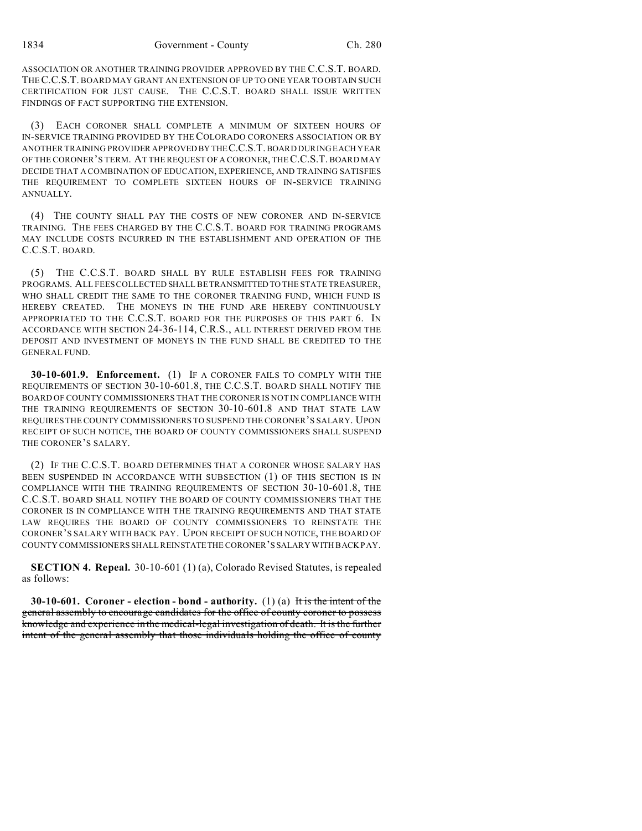ASSOCIATION OR ANOTHER TRAINING PROVIDER APPROVED BY THE C.C.S.T. BOARD. THEC.C.S.T. BOARD MAY GRANT AN EXTENSION OF UP TO ONE YEAR TO OBTAIN SUCH CERTIFICATION FOR JUST CAUSE. THE C.C.S.T. BOARD SHALL ISSUE WRITTEN FINDINGS OF FACT SUPPORTING THE EXTENSION.

(3) EACH CORONER SHALL COMPLETE A MINIMUM OF SIXTEEN HOURS OF IN-SERVICE TRAINING PROVIDED BY THECOLORADO CORONERS ASSOCIATION OR BY ANOTHER TRAINING PROVIDER APPROVED BY THEC.C.S.T. BOARD DURING EACH YEAR OF THE CORONER'S TERM. AT THE REQUEST OF A CORONER, THE C.C.S.T. BOARD MAY DECIDE THAT A COMBINATION OF EDUCATION, EXPERIENCE, AND TRAINING SATISFIES THE REQUIREMENT TO COMPLETE SIXTEEN HOURS OF IN-SERVICE TRAINING ANNUALLY.

(4) THE COUNTY SHALL PAY THE COSTS OF NEW CORONER AND IN-SERVICE TRAINING. THE FEES CHARGED BY THE C.C.S.T. BOARD FOR TRAINING PROGRAMS MAY INCLUDE COSTS INCURRED IN THE ESTABLISHMENT AND OPERATION OF THE C.C.S.T. BOARD.

(5) THE C.C.S.T. BOARD SHALL BY RULE ESTABLISH FEES FOR TRAINING PROGRAMS. ALL FEES COLLECTED SHALL BE TRANSMITTEDTO THE STATE TREASURER, WHO SHALL CREDIT THE SAME TO THE CORONER TRAINING FUND, WHICH FUND IS HEREBY CREATED. THE MONEYS IN THE FUND ARE HEREBY CONTINUOUSLY APPROPRIATED TO THE C.C.S.T. BOARD FOR THE PURPOSES OF THIS PART 6. IN ACCORDANCE WITH SECTION 24-36-114, C.R.S., ALL INTEREST DERIVED FROM THE DEPOSIT AND INVESTMENT OF MONEYS IN THE FUND SHALL BE CREDITED TO THE GENERAL FUND.

**30-10-601.9. Enforcement.** (1) IF A CORONER FAILS TO COMPLY WITH THE REQUIREMENTS OF SECTION 30-10-601.8, THE C.C.S.T. BOARD SHALL NOTIFY THE BOARD OF COUNTY COMMISSIONERS THAT THE CORONER IS NOT IN COMPLIANCE WITH THE TRAINING REQUIREMENTS OF SECTION 30-10-601.8 AND THAT STATE LAW REQUIRES THE COUNTY COMMISSIONERS TO SUSPEND THE CORONER'S SALARY. UPON RECEIPT OF SUCH NOTICE, THE BOARD OF COUNTY COMMISSIONERS SHALL SUSPEND THE CORONER'S SALARY.

(2) IF THE C.C.S.T. BOARD DETERMINES THAT A CORONER WHOSE SALARY HAS BEEN SUSPENDED IN ACCORDANCE WITH SUBSECTION (1) OF THIS SECTION IS IN COMPLIANCE WITH THE TRAINING REQUIREMENTS OF SECTION 30-10-601.8, THE C.C.S.T. BOARD SHALL NOTIFY THE BOARD OF COUNTY COMMISSIONERS THAT THE CORONER IS IN COMPLIANCE WITH THE TRAINING REQUIREMENTS AND THAT STATE LAW REQUIRES THE BOARD OF COUNTY COMMISSIONERS TO REINSTATE THE CORONER'S SALARY WITH BACK PAY. UPON RECEIPT OF SUCH NOTICE, THE BOARD OF COUNTY COMMISSIONERS SHALL REINSTATETHE CORONER'S SALARY WITH BACK PAY.

**SECTION 4. Repeal.** 30-10-601 (1) (a), Colorado Revised Statutes, is repealed as follows:

**30-10-601. Coroner - election - bond - authority.** (1) (a) It is the intent of the general assembly to encourage candidates for the office of county coroner to possess knowledge and experience in the medical-legal investigation of death. It is the further intent of the general assembly that those individuals holding the office of county